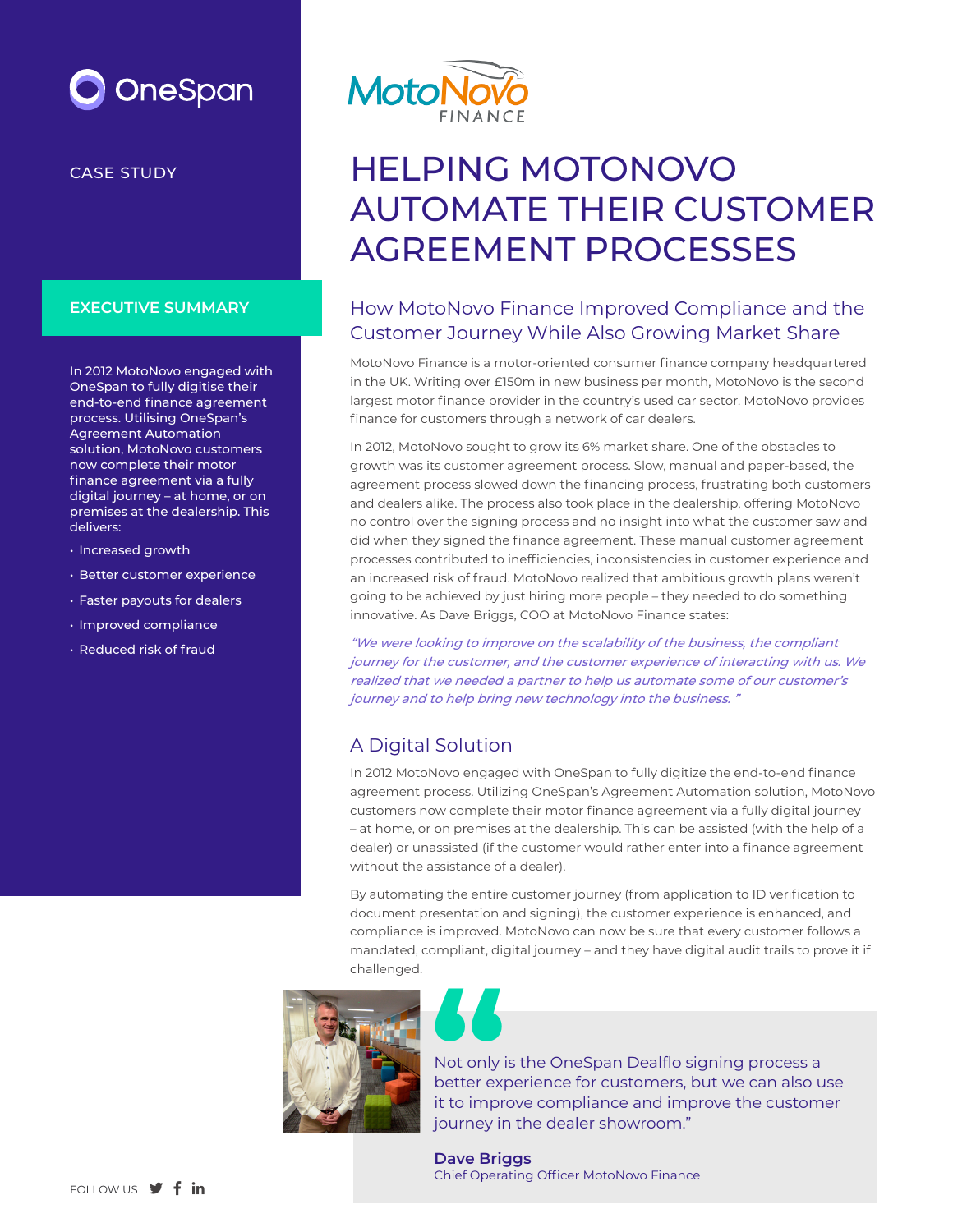# OneSpan

CASE STUDY

#### **EXECUTIVE SUMMARY**

In 2012 MotoNovo engaged with OneSpan to fully digitise their end-to-end finance agreement process. Utilising OneSpan's Agreement Automation solution, MotoNovo customers now complete their motor finance agreement via a fully digital journey – at home, or on premises at the dealership. This delivers:

- Increased growth
- Better customer experience
- Faster payouts for dealers
- Improved compliance
- Reduced risk of fraud



## HELPING MOTONOVO AUTOMATE THEIR CUSTOMER AGREEMENT PROCESSES

### How MotoNovo Finance Improved Compliance and the Customer Journey While Also Growing Market Share

MotoNovo Finance is a motor-oriented consumer finance company headquartered in the UK. Writing over £150m in new business per month, MotoNovo is the second largest motor finance provider in the country's used car sector. MotoNovo provides finance for customers through a network of car dealers.

In 2012, MotoNovo sought to grow its 6% market share. One of the obstacles to growth was its customer agreement process. Slow, manual and paper-based, the agreement process slowed down the financing process, frustrating both customers and dealers alike. The process also took place in the dealership, offering MotoNovo no control over the signing process and no insight into what the customer saw and did when they signed the finance agreement. These manual customer agreement processes contributed to inefficiencies, inconsistencies in customer experience and an increased risk of fraud. MotoNovo realized that ambitious growth plans weren't going to be achieved by just hiring more people – they needed to do something innovative. As Dave Briggs, COO at MotoNovo Finance states:

"We were looking to improve on the scalability of the business, the compliant journey for the customer, and the customer experience of interacting with us. We realized that we needed a partner to help us automate some of our customer's journey and to help bring new technology into the business. "

## A Digital Solution

In 2012 MotoNovo engaged with OneSpan to fully digitize the end-to-end finance agreement process. Utilizing OneSpan's Agreement Automation solution, MotoNovo customers now complete their motor finance agreement via a fully digital journey – at home, or on premises at the dealership. This can be assisted (with the help of a dealer) or unassisted (if the customer would rather enter into a finance agreement without the assistance of a dealer).

By automating the entire customer journey (from application to ID verification to document presentation and signing), the customer experience is enhanced, and compliance is improved. MotoNovo can now be sure that every customer follows a mandated, compliant, digital journey – and they have digital audit trails to prove it if challenged.





Not only is the OneSpan Dealflo signing process a better experience for customers, but we can also use it to improve compliance and improve the customer journey in the dealer showroom." **Not only if better explicit de la propriet de la propriet de la propriet de la propriet de la propriet de la propriet de la propriet de la propriet de la propriet de la propriet de la propriet de la propriet de la proprie** 

**Dave Briggs** Chief Operating Officer MotoNovo Finance